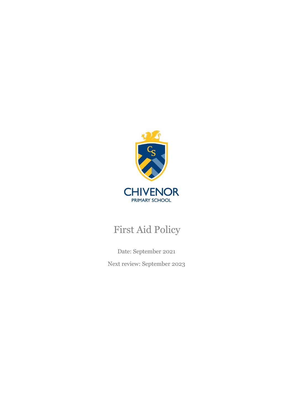

# First Aid Policy

Date: September 2021 Next review: September 2023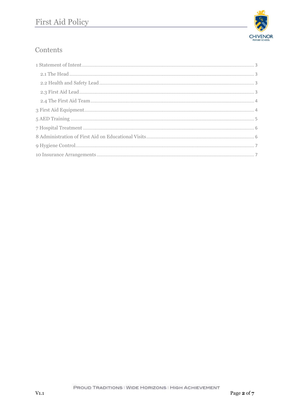

# Contents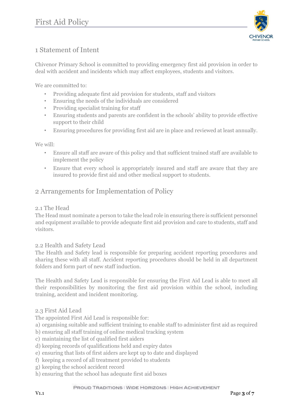

# <span id="page-2-0"></span>1 Statement of Intent

Chivenor Primary School is committed to providing emergency first aid provision in order to deal with accident and incidents which may affect employees, students and visitors.

We are committed to:

- Providing adequate first aid provision for students, staff and visitors
- Ensuring the needs of the individuals are considered
- Providing specialist training for staff
- Ensuring students and parents are confident in the schools' ability to provide effective support to their child
- Ensuring procedures for providing first aid are in place and reviewed at least annually.

We will:

- Ensure all staff are aware of this policy and that sufficient trained staff are available to implement the policy
- Ensure that every school is appropriately insured and staff are aware that they are insured to provide first aid and other medical support to students.

#### 2 Arrangements for Implementation of Policy

#### <span id="page-2-1"></span>2.1 The Head

The Head must nominate a person to take the lead role in ensuring there is sufficient personnel and equipment available to provide adequate first aid provision and care to students, staff and visitors.

#### <span id="page-2-2"></span>2.2 Health and Safety Lead

The Health and Safety lead is responsible for preparing accident reporting procedures and sharing these with all staff. Accident reporting procedures should be held in all department folders and form part of new staff induction.

The Health and Safety Lead is responsible for ensuring the First Aid Lead is able to meet all their responsibilities by monitoring the first aid provision within the school, including training, accident and incident monitoring.

#### <span id="page-2-3"></span>2.3 First Aid Lead

The appointed First Aid Lead is responsible for:

- a) organising suitable and sufficient training to enable staff to administer first aid as required
- b) ensuring all staff training of online medical tracking system
- c) maintaining the list of qualified first aiders
- d) keeping records of qualifications held and expiry dates
- e) ensuring that lists of first aiders are kept up to date and displayed
- f) keeping a record of all treatment provided to students
- g) keeping the school accident record
- h) ensuring that the school has adequate first aid boxes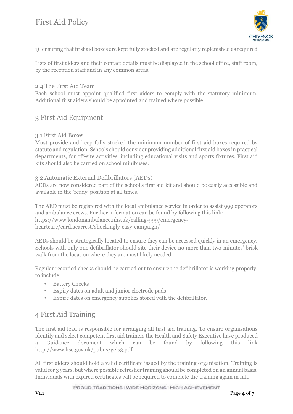

i) ensuring that first aid boxes are kept fully stocked and are regularly replenished as required

Lists of first aiders and their contact details must be displayed in the school office, staff room, by the reception staff and in any common areas.

#### <span id="page-3-0"></span>2.4 The First Aid Team

Each school must appoint qualified first aiders to comply with the statutory minimum. Additional first aiders should be appointed and trained where possible.

# <span id="page-3-1"></span>3 First Aid Equipment

#### 3.1 First Aid Boxes

Must provide and keep fully stocked the minimum number of first aid boxes required by statute and regulation. Schools should consider providing additional first aid boxes in practical departments, for off-site activities, including educational visits and sports fixtures. First aid kits should also be carried on school minibuses.

#### 3.2 Automatic External Defibrillators (AEDs)

AEDs are now considered part of the school's first aid kit and should be easily accessible and available in the 'ready' position at all times.

The AED must be registered with the local ambulance service in order to assist 999 operators and ambulance crews. Further information can be found by following this link: https://www.londonambulance.nhs.uk/calling-999/emergencyheartcare/cardiacarrest/shockingly-easy-campaign/

AEDs should be strategically located to ensure they can be accessed quickly in an emergency. Schools with only one defibrillator should site their device no more than two minutes' brisk walk from the location where they are most likely needed.

Regular recorded checks should be carried out to ensure the defibrillator is working properly, to include:

- **Battery Checks**
- Expiry dates on adult and junior electrode pads
- Expire dates on emergency supplies stored with the defibrillator.

### 4 First Aid Training

The first aid lead is responsible for arranging all first aid training. To ensure organisations identify and select competent first aid trainers the Health and Safety Executive have produced a Guidance document which can be found by following this link http://www.hse.gov.uk/pubns/geis3.pdf

All first aiders should hold a valid certificate issued by the training organisation. Training is valid for 3 years, but where possible refresher training should be completed on an annual basis. Individuals with expired certificates will be required to complete the training again in full.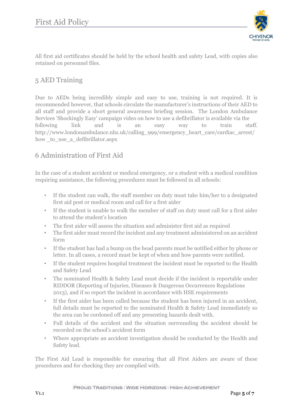

All first aid certificates should be held by the school health and safety Lead, with copies also retained on personnel files.

### <span id="page-4-0"></span>5 AED Training

Due to AEDs being incredibly simple and easy to use, training is not required. It is recommended however, that schools circulate the manufacturer's instructions of their AED to all staff and provide a short general awareness briefing session. The London Ambulance Services 'Shockingly Easy' campaign video on how to use a defibrillator is available via the following link and is an easy way to train staff. http://www.londonambulance.nhs.uk/calling\_999/emergency\_heart\_care/cardiac\_arrest/ how to use a defibrillator.aspx

# 6 Administration of First Aid

In the case of a student accident or medical emergency, or a student with a medical condition requiring assistance, the following procedures must be followed in all schools:

- If the student can walk, the staff member on duty must take him/her to a designated first aid post or medical room and call for a first aider
- If the student is unable to walk the member of staff on duty must call for a first aider to attend the student's location
- The first aider will assess the situation and administer first aid as required
- The first aider must record the incident and any treatment administered on an accident form
- If the student has had a bump on the head parents must be notified either by phone or letter. In all cases, a record must be kept of when and how parents were notified.
- If the student requires hospital treatment the incident must be reported to the Health and Safety Lead
- The nominated Health & Safety Lead must decide if the incident is reportable under RIDDOR (Reporting of Injuries, Diseases & Dangerous Occurrences Regulations 2013), and if so report the incident in accordance with HSE requirements
- If the first aider has been called because the student has been injured in an accident, full details must be reported to the nominated Health & Safety Lead immediately so the area can be cordoned off and any presenting hazards dealt with.
- Full details of the accident and the situation surrounding the accident should be recorded on the school's accident form
- Where appropriate an accident investigation should be conducted by the Health and Safety lead.

The First Aid Lead is responsible for ensuring that all First Aiders are aware of these procedures and for checking they are complied with.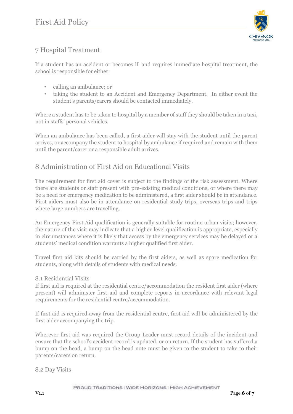

# <span id="page-5-0"></span>7 Hospital Treatment

If a student has an accident or becomes ill and requires immediate hospital treatment, the school is responsible for either:

- calling an ambulance; or
- taking the student to an Accident and Emergency Department. In either event the student's parents/carers should be contacted immediately.

Where a student has to be taken to hospital by a member of staff they should be taken in a taxi, not in staffs' personal vehicles.

When an ambulance has been called, a first aider will stay with the student until the parent arrives, or accompany the student to hospital by ambulance if required and remain with them until the parent/carer or a responsible adult arrives.

# <span id="page-5-1"></span>8 Administration of First Aid on Educational Visits

The requirement for first aid cover is subject to the findings of the risk assessment. Where there are students or staff present with pre-existing medical conditions, or where there may be a need for emergency medication to be administered, a first aider should be in attendance. First aiders must also be in attendance on residential study trips, overseas trips and trips where large numbers are travelling.

An Emergency First Aid qualification is generally suitable for routine urban visits; however, the nature of the visit may indicate that a higher-level qualification is appropriate, especially in circumstances where it is likely that access by the emergency services may be delayed or a students' medical condition warrants a higher qualified first aider.

Travel first aid kits should be carried by the first aiders, as well as spare medication for students, along with details of students with medical needs.

#### 8.1 Residential Visits

If first aid is required at the residential centre/accommodation the resident first aider (where present) will administer first aid and complete reports in accordance with relevant legal requirements for the residential centre/accommodation.

If first aid is required away from the residential centre, first aid will be administered by the first aider accompanying the trip.

Wherever first aid was required the Group Leader must record details of the incident and ensure that the school's accident record is updated, or on return. If the student has suffered a bump on the head, a bump on the head note must be given to the student to take to their parents/carers on return.

8.2 Day Visits